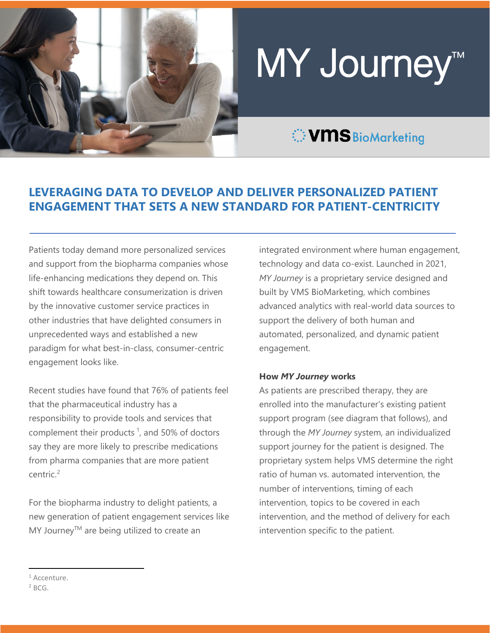

# MY Journey™

# **VMS** BioMarketing

# **LEVERAGING DATA TO DEVELOP AND DELIVER PERSONALIZED PATIENT ENGAGEMENT THAT SETS A NEW STANDARD FOR PATIENT-CENTRICITY**

Patients today demand more personalized services and support from the biopharma companies whose life-enhancing medications they depend on. This shift towards healthcare consumerization is driven by the innovative customer service practices in other industries that have delighted consumers in unprecedented ways and established a new paradigm for what best-in-class, consumer-centric engagement looks like.

Recent studies have found that 76% of patients feel that the pharmaceutical industry has a responsibility to provide tools and services that complement their products<sup>[1](#page-0-0)</sup>, and 50% of doctors say they are more likely to prescribe medications from pharma companies that are more patient centric.<sup>[2](#page-0-0)</sup>

For the biopharma industry to delight patients, a new generation of patient engagement services like MY Journey™ are being utilized to create an

integrated environment where human engagement, technology and data co-exist. Launched in 2021, *MY Journey* is a proprietary service designed and built by VMS BioMarketing, which combines advanced analytics with real-world data sources to support the delivery of both human and automated, personalized, and dynamic patient engagement.

#### **How** *MY Journey* **works**

As patients are prescribed therapy, they are enrolled into the manufacturer's existing patient support program (see diagram that follows), and through the *MY Journey* system, an individualized support journey for the patient is designed. The proprietary system helps VMS determine the right ratio of human vs. automated intervention, the number of interventions, timing of each intervention, topics to be covered in each intervention, and the method of delivery for each intervention specific to the patient.

<span id="page-0-0"></span><sup>&</sup>lt;sup>1</sup> Accenture.

 $2$  BCG.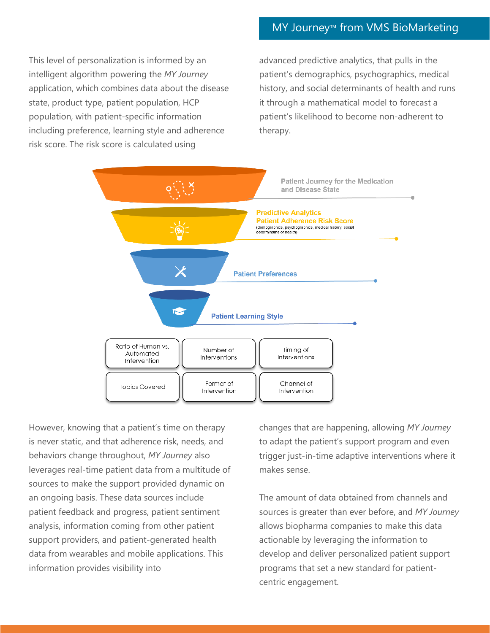## MY Journey™ from VMS BioMarketing

This level of personalization is informed by an intelligent algorithm powering the *MY Journey* application, which combines data about the disease state, product type, patient population, HCP population, with patient-specific information including preference, learning style and adherence risk score. The risk score is calculated using

advanced predictive analytics, that pulls in the patient's demographics, psychographics, medical history, and social determinants of health and runs it through a mathematical model to forecast a patient's likelihood to become non-adherent to therapy.



However, knowing that a patient's time on therapy is never static, and that adherence risk, needs, and behaviors change throughout, *MY Journey* also leverages real-time patient data from a multitude of sources to make the support provided dynamic on an ongoing basis. These data sources include patient feedback and progress, patient sentiment analysis, information coming from other patient support providers, and patient-generated health data from wearables and mobile applications. This information provides visibility into

changes that are happening, allowing *MY Journey* to adapt the patient's support program and even trigger just-in-time adaptive interventions where it makes sense.

The amount of data obtained from channels and sources is greater than ever before, and *MY Journey* allows biopharma companies to make this data actionable by leveraging the information to develop and deliver personalized patient support programs that set a new standard for patientcentric engagement.